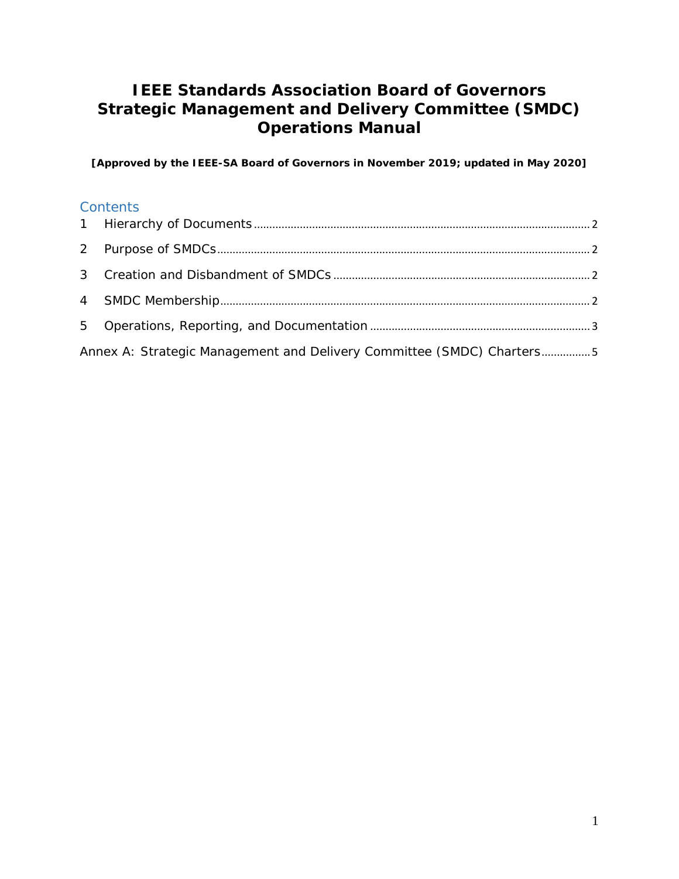# **IEEE Standards Association Board of Governors Strategic Management and Delivery Committee (SMDC) Operations Manual**

**[Approved by the IEEE-SA Board of Governors in November 2019; updated in May 2020]**

#### **Contents**

| Annex A: Strategic Management and Delivery Committee (SMDC) Charters5 |  |
|-----------------------------------------------------------------------|--|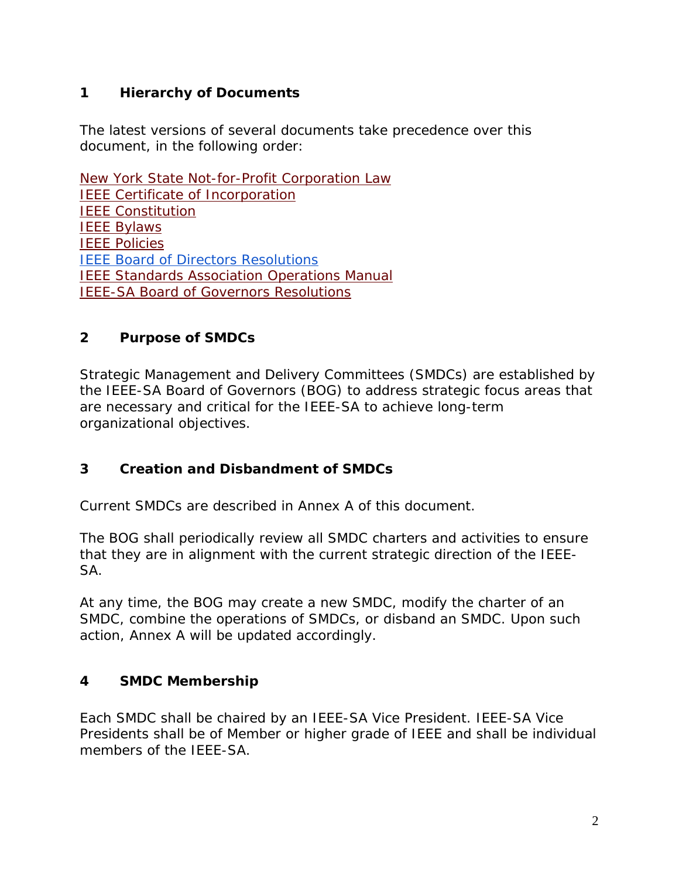# <span id="page-1-0"></span>**1 Hierarchy of Documents**

The latest versions of several documents take precedence over this document, in the following order:

[New York State Not-for-Profit Corporation Law](http://law.justia.com/newyork/codes/not-for-profit-corporation/) [IEEE Certificate of Incorporation](https://www.ieee.org/content/dam/ieee-org/ieee/web/org/about/whatis/01-05-1993_Certificate_of_Incorporation.pdf) [IEEE Constitution](https://www.ieee.org/content/dam/ieee-org/ieee/web/org/ieee-constitution-and-bylaws.pdf) [IEEE Bylaws](https://www.ieee.org/content/dam/ieee-org/ieee/web/org/ieee-constitution-and-bylaws.pdf) **[IEEE Policies](https://www.ieee.org/content/dam/ieee-org/ieee/web/org/about/whatis/ieee-policies.pdf)** [IEEE Board of Directors Resolutions](https://www.ieee.org/about/corporate/action.html) [IEEE Standards Association Operations Manual](https://standards.ieee.org/content/dam/ieee-standards/standards/web/documents/other/sa_om.pdf) [IEEE-SA Board of Governors Resolutions](https://standards.ieee.org/about/bog/resolutions.html)

### <span id="page-1-1"></span>**2 Purpose of SMDCs**

Strategic Management and Delivery Committees (SMDCs) are established by the IEEE-SA Board of Governors (BOG) to address strategic focus areas that are necessary and critical for the IEEE-SA to achieve long-term organizational objectives.

# <span id="page-1-2"></span>**3 Creation and Disbandment of SMDCs**

Current SMDCs are described in Annex A of this document.

The BOG shall periodically review all SMDC charters and activities to ensure that they are in alignment with the current strategic direction of the IEEE-SA.

At any time, the BOG may create a new SMDC, modify the charter of an SMDC, combine the operations of SMDCs, or disband an SMDC. Upon such action, Annex A will be updated accordingly.

#### <span id="page-1-3"></span>**4 SMDC Membership**

Each SMDC shall be chaired by an IEEE-SA Vice President. IEEE-SA Vice Presidents shall be of Member or higher grade of IEEE and shall be individual members of the IFFF-SA.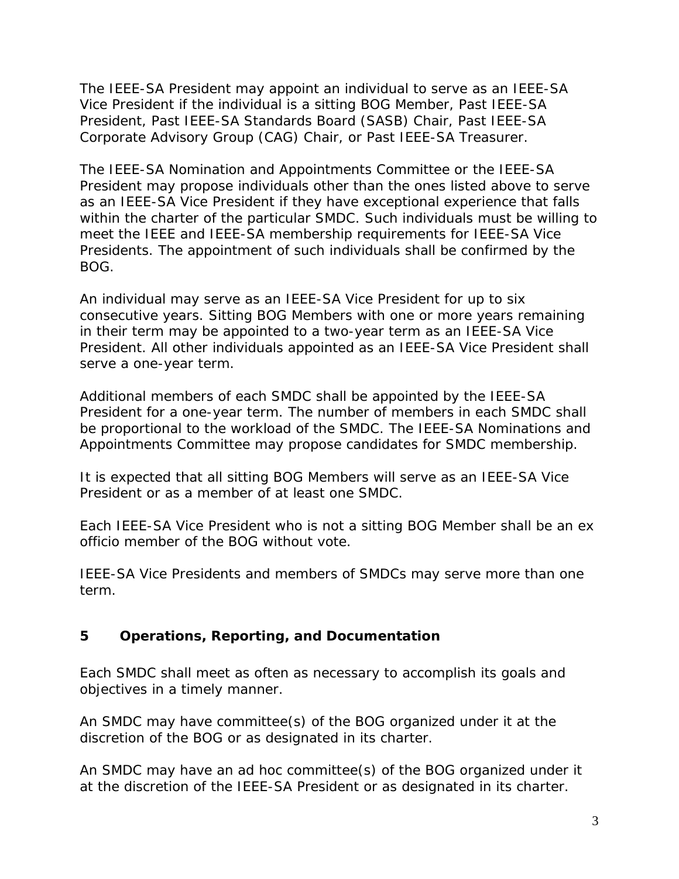The IEEE-SA President may appoint an individual to serve as an IEEE-SA Vice President if the individual is a sitting BOG Member, Past IEEE-SA President, Past IEEE-SA Standards Board (SASB) Chair, Past IEEE-SA Corporate Advisory Group (CAG) Chair, or Past IEEE-SA Treasurer.

The IEEE-SA Nomination and Appointments Committee or the IEEE-SA President may propose individuals other than the ones listed above to serve as an IEEE-SA Vice President if they have exceptional experience that falls within the charter of the particular SMDC. Such individuals must be willing to meet the IEEE and IEEE-SA membership requirements for IEEE-SA Vice Presidents. The appointment of such individuals shall be confirmed by the BOG.

An individual may serve as an IEEE-SA Vice President for up to six consecutive years. Sitting BOG Members with one or more years remaining in their term may be appointed to a two-year term as an IEEE-SA Vice President. All other individuals appointed as an IEEE-SA Vice President shall serve a one-year term.

Additional members of each SMDC shall be appointed by the IEEE-SA President for a one-year term. The number of members in each SMDC shall be proportional to the workload of the SMDC. The IEEE-SA Nominations and Appointments Committee may propose candidates for SMDC membership.

It is expected that all sitting BOG Members will serve as an IEEE-SA Vice President or as a member of at least one SMDC.

Each IEEE-SA Vice President who is not a sitting BOG Member shall be an ex officio member of the BOG without vote.

IEEE-SA Vice Presidents and members of SMDCs may serve more than one term.

# <span id="page-2-0"></span>**5 Operations, Reporting, and Documentation**

Each SMDC shall meet as often as necessary to accomplish its goals and objectives in a timely manner.

An SMDC may have committee(s) of the BOG organized under it at the discretion of the BOG or as designated in its charter.

An SMDC may have an ad hoc committee(s) of the BOG organized under it at the discretion of the IEEE-SA President or as designated in its charter.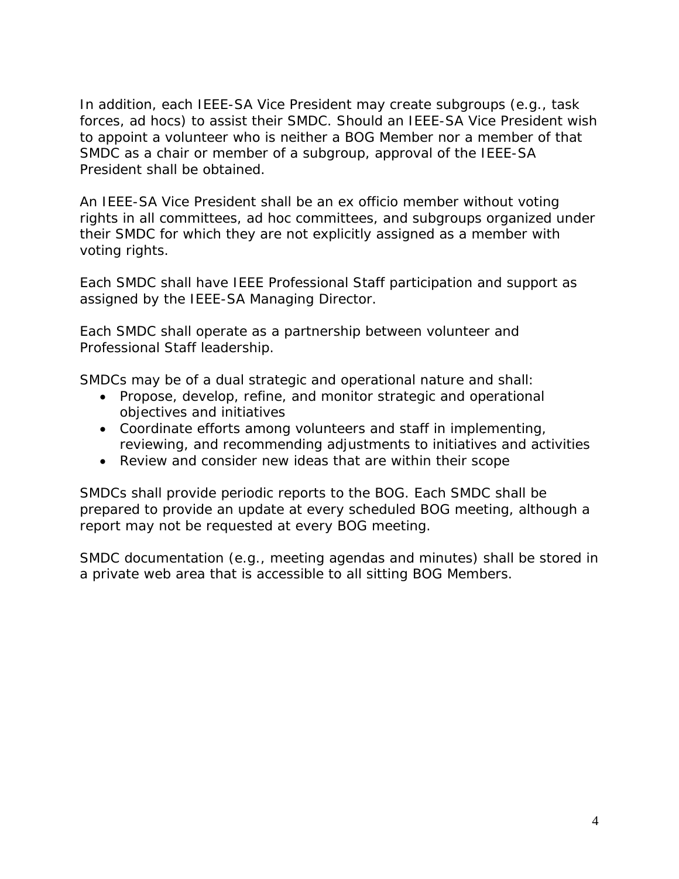In addition, each IEEE-SA Vice President may create subgroups (e.g., task forces, ad hocs) to assist their SMDC. Should an IEEE-SA Vice President wish to appoint a volunteer who is neither a BOG Member nor a member of that SMDC as a chair or member of a subgroup, approval of the IEEE-SA President shall be obtained.

An IEEE-SA Vice President shall be an ex officio member without voting rights in all committees, ad hoc committees, and subgroups organized under their SMDC for which they are not explicitly assigned as a member with voting rights.

Each SMDC shall have IEEE Professional Staff participation and support as assigned by the IEEE-SA Managing Director.

Each SMDC shall operate as a partnership between volunteer and Professional Staff leadership.

SMDCs may be of a dual strategic and operational nature and shall:

- Propose, develop, refine, and monitor strategic and operational objectives and initiatives
- Coordinate efforts among volunteers and staff in implementing, reviewing, and recommending adjustments to initiatives and activities
- Review and consider new ideas that are within their scope

SMDCs shall provide periodic reports to the BOG. Each SMDC shall be prepared to provide an update at every scheduled BOG meeting, although a report may not be requested at every BOG meeting.

SMDC documentation (e.g., meeting agendas and minutes) shall be stored in a private web area that is accessible to all sitting BOG Members.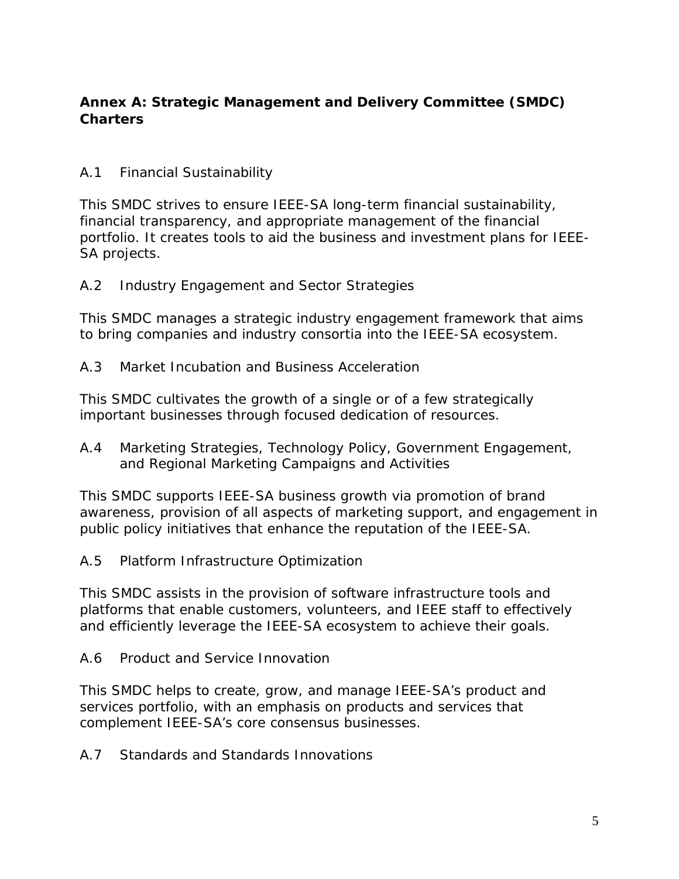# <span id="page-4-0"></span>**Annex A: Strategic Management and Delivery Committee (SMDC) Charters**

# A.1 *Financial Sustainability*

This SMDC strives to ensure IEEE-SA long-term financial sustainability, financial transparency, and appropriate management of the financial portfolio. It creates tools to aid the business and investment plans for IEEE-SA projects.

### A.2 *Industry Engagement and Sector Strategies*

This SMDC manages a strategic industry engagement framework that aims to bring companies and industry consortia into the IEEE-SA ecosystem.

#### A.3 *Market Incubation and Business Acceleration*

This SMDC cultivates the growth of a single or of a few strategically important businesses through focused dedication of resources.

A.4 *Marketing Strategies, Technology Policy, Government Engagement, and Regional Marketing Campaigns and Activities*

This SMDC supports IEEE-SA business growth via promotion of brand awareness, provision of all aspects of marketing support, and engagement in public policy initiatives that enhance the reputation of the IEEE-SA.

#### A.5 *Platform Infrastructure Optimization*

This SMDC assists in the provision of software infrastructure tools and platforms that enable customers, volunteers, and IEEE staff to effectively and efficiently leverage the IEEE-SA ecosystem to achieve their goals.

#### A.6 *Product and Service Innovation*

This SMDC helps to create, grow, and manage IEEE-SA's product and services portfolio, with an emphasis on products and services that complement IEEE-SA's core consensus businesses.

#### A.7 *Standards and Standards Innovations*